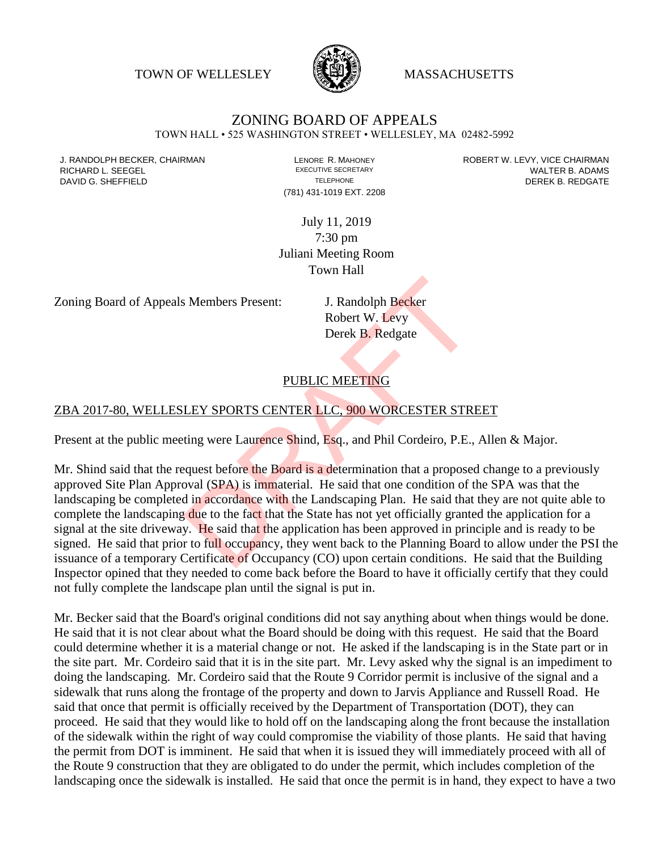TOWN OF WELLESLEY **WASSACHUSETTS** 



# ZONING BOARD OF APPEALS

TOWN HALL • 525 WASHINGTON STREET • WELLESLEY, MA 02482-5992

(781) 431-1019 EXT. 2208

J. RANDOLPH BECKER, CHAIRMAN LAND LENORE R. MAHONEY LENORE RESOLUTIVE SECRETARY LEVY, VICE CHAIRMAN LAND RISPO<br>RICHARD L. SFFGFI LADAMS RICHARD L. SEEGEL **EXECUTIVE SECRETARY CONTROLL SEEGETARY** WALTER B. ADAMS DAVID G. SHEFFIELD **TELEPHONE** TELEPHONE TELEPHONE **TELEPHONE DEREK B. REDGATE** 

> July 11, 2019 7:30 pm Juliani Meeting Room Town Hall

Zoning Board of Appeals Members Present: J. Randolph Becker

Robert W. Levy Derek B. Redgate

# PUBLIC MEETING

#### ZBA 2017-80, WELLESLEY SPORTS CENTER LLC, 900 WORCESTER STREET

Present at the public meeting were Laurence Shind, Esq., and Phil Cordeiro, P.E., Allen & Major.

Mr. Shind said that the request before the Board is a determination that a proposed change to a previously approved Site Plan Approval (SPA) is immaterial. He said that one condition of the SPA was that the landscaping be completed in accordance with the Landscaping Plan. He said that they are not quite able to complete the landscaping due to the fact that the State has not yet officially granted the application for a signal at the site driveway. He said that the application has been approved in principle and is ready to be signed. He said that prior to full occupancy, they went back to the Planning Board to allow under the PSI the issuance of a temporary Certificate of Occupancy (CO) upon certain conditions. He said that the Building Inspector opined that they needed to come back before the Board to have it officially certify that they could not fully complete the landscape plan until the signal is put in. S. Members Present:<br>
J. Randolph Becker<br>
Robert W. Levy<br>
Derek B. Redgate<br>
PUBLIC MEETING<br>
LEY SPORTS CENTER LLC, 900 WORCESTER STRI<br>
ting were Laurence Shind, Esq., and Phil Cordeiro, P.E.,<br>
equest before the Board is a d

Mr. Becker said that the Board's original conditions did not say anything about when things would be done. He said that it is not clear about what the Board should be doing with this request. He said that the Board could determine whether it is a material change or not. He asked if the landscaping is in the State part or in the site part. Mr. Cordeiro said that it is in the site part. Mr. Levy asked why the signal is an impediment to doing the landscaping. Mr. Cordeiro said that the Route 9 Corridor permit is inclusive of the signal and a sidewalk that runs along the frontage of the property and down to Jarvis Appliance and Russell Road. He said that once that permit is officially received by the Department of Transportation (DOT), they can proceed. He said that they would like to hold off on the landscaping along the front because the installation of the sidewalk within the right of way could compromise the viability of those plants. He said that having the permit from DOT is imminent. He said that when it is issued they will immediately proceed with all of the Route 9 construction that they are obligated to do under the permit, which includes completion of the landscaping once the sidewalk is installed. He said that once the permit is in hand, they expect to have a two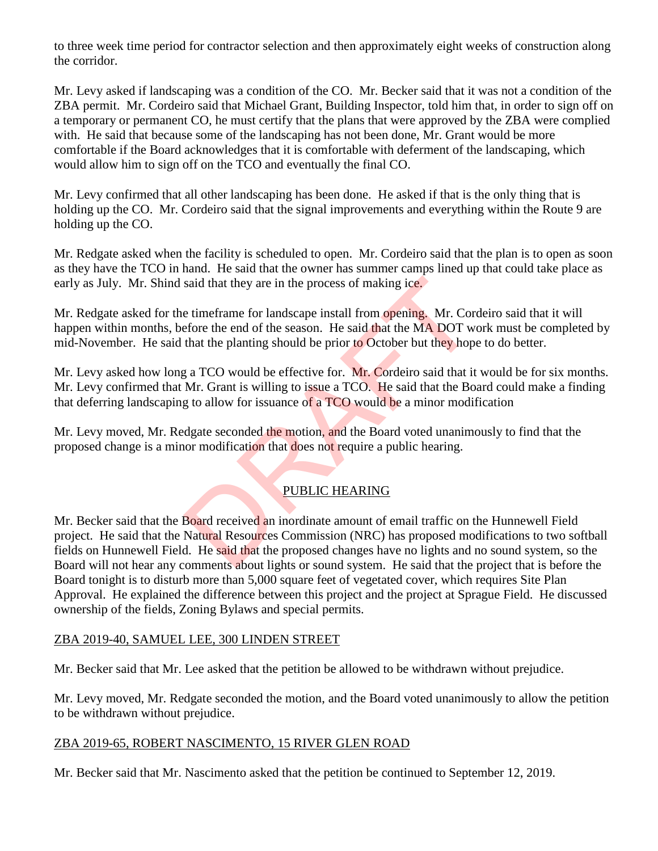to three week time period for contractor selection and then approximately eight weeks of construction along the corridor.

Mr. Levy asked if landscaping was a condition of the CO. Mr. Becker said that it was not a condition of the ZBA permit. Mr. Cordeiro said that Michael Grant, Building Inspector, told him that, in order to sign off on a temporary or permanent CO, he must certify that the plans that were approved by the ZBA were complied with. He said that because some of the landscaping has not been done, Mr. Grant would be more comfortable if the Board acknowledges that it is comfortable with deferment of the landscaping, which would allow him to sign off on the TCO and eventually the final CO.

Mr. Levy confirmed that all other landscaping has been done. He asked if that is the only thing that is holding up the CO. Mr. Cordeiro said that the signal improvements and everything within the Route 9 are holding up the CO.

Mr. Redgate asked when the facility is scheduled to open. Mr. Cordeiro said that the plan is to open as soon as they have the TCO in hand. He said that the owner has summer camps lined up that could take place as early as July. Mr. Shind said that they are in the process of making ice.

Mr. Redgate asked for the timeframe for landscape install from opening. Mr. Cordeiro said that it will happen within months, before the end of the season. He said that the MA DOT work must be completed by mid-November. He said that the planting should be prior to October but they hope to do better.

Mr. Levy asked how long a TCO would be effective for. Mr. Cordeiro said that it would be for six months. Mr. Levy confirmed that Mr. Grant is willing to issue a TCO. He said that the Board could make a finding that deferring landscaping to allow for issuance of a TCO would be a minor modification

Mr. Levy moved, Mr. Redgate seconded the motion, and the Board voted unanimously to find that the proposed change is a minor modification that does not require a public hearing.

# PUBLIC HEARING

Mr. Becker said that the Board received an inordinate amount of email traffic on the Hunnewell Field project. He said that the Natural Resources Commission (NRC) has proposed modifications to two softball fields on Hunnewell Field. He said that the proposed changes have no lights and no sound system, so the Board will not hear any comments about lights or sound system. He said that the project that is before the Board tonight is to disturb more than 5,000 square feet of vegetated cover, which requires Site Plan Approval. He explained the difference between this project and the project at Sprague Field. He discussed ownership of the fields, Zoning Bylaws and special permits. said that they are in the process of making ice.<br>
e timeframe for landscape install from opening. Mr. Cor<br>
efore the end of the season. He said that the MA DOT w<br>
that the planting should be prior to October but they hop<br>

#### ZBA 2019-40, SAMUEL LEE, 300 LINDEN STREET

Mr. Becker said that Mr. Lee asked that the petition be allowed to be withdrawn without prejudice.

Mr. Levy moved, Mr. Redgate seconded the motion, and the Board voted unanimously to allow the petition to be withdrawn without prejudice.

#### ZBA 2019-65, ROBERT NASCIMENTO, 15 RIVER GLEN ROAD

Mr. Becker said that Mr. Nascimento asked that the petition be continued to September 12, 2019.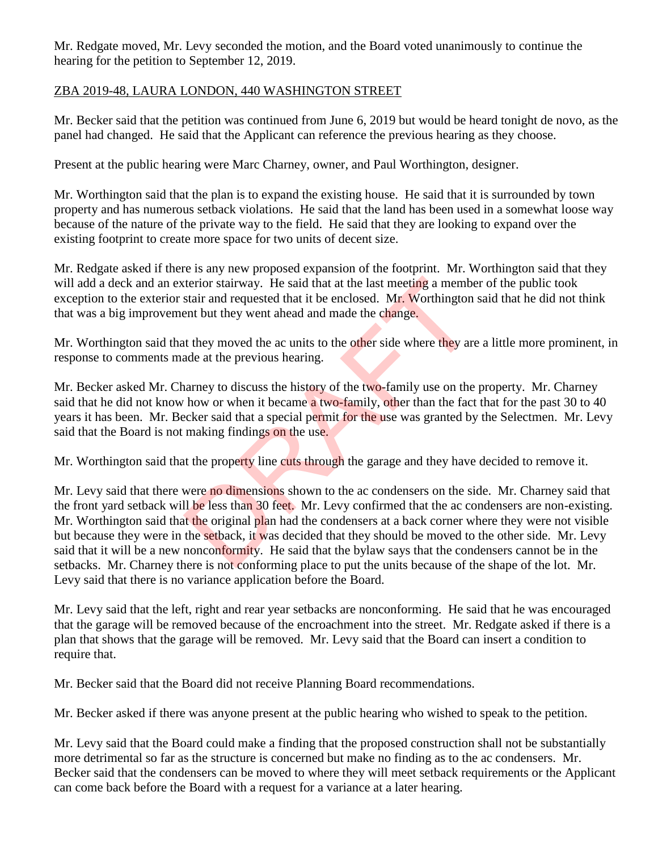Mr. Redgate moved, Mr. Levy seconded the motion, and the Board voted unanimously to continue the hearing for the petition to September 12, 2019.

# ZBA 2019-48, LAURA LONDON, 440 WASHINGTON STREET

Mr. Becker said that the petition was continued from June 6, 2019 but would be heard tonight de novo, as the panel had changed. He said that the Applicant can reference the previous hearing as they choose.

Present at the public hearing were Marc Charney, owner, and Paul Worthington, designer.

Mr. Worthington said that the plan is to expand the existing house. He said that it is surrounded by town property and has numerous setback violations. He said that the land has been used in a somewhat loose way because of the nature of the private way to the field. He said that they are looking to expand over the existing footprint to create more space for two units of decent size.

Mr. Redgate asked if there is any new proposed expansion of the footprint. Mr. Worthington said that they will add a deck and an exterior stairway. He said that at the last meeting a member of the public took exception to the exterior stair and requested that it be enclosed. Mr. Worthington said that he did not think that was a big improvement but they went ahead and made the change.

Mr. Worthington said that they moved the ac units to the other side where they are a little more prominent, in response to comments made at the previous hearing.

Mr. Becker asked Mr. Charney to discuss the history of the two-family use on the property. Mr. Charney said that he did not know how or when it became a two-family, other than the fact that for the past 30 to 40 years it has been. Mr. Becker said that a special permit for the use was granted by the Selectmen. Mr. Levy said that the Board is not making findings on the use.

Mr. Worthington said that the property line cuts through the garage and they have decided to remove it.

Mr. Levy said that there were no dimensions shown to the ac condensers on the side. Mr. Charney said that the front yard setback will be less than 30 feet. Mr. Levy confirmed that the ac condensers are non-existing. Mr. Worthington said that the original plan had the condensers at a back corner where they were not visible but because they were in the setback, it was decided that they should be moved to the other side. Mr. Levy said that it will be a new nonconformity. He said that the bylaw says that the condensers cannot be in the setbacks. Mr. Charney there is not conforming place to put the units because of the shape of the lot. Mr. Levy said that there is no variance application before the Board. terior stairway. He said that at the last meeting a memberstair and requested that it be enclosed. Mr. Worthington<br>ent but they went ahead and made the change.<br>they moved the ac units to the other side where they are<br>ade a

Mr. Levy said that the left, right and rear year setbacks are nonconforming. He said that he was encouraged that the garage will be removed because of the encroachment into the street. Mr. Redgate asked if there is a plan that shows that the garage will be removed. Mr. Levy said that the Board can insert a condition to require that.

Mr. Becker said that the Board did not receive Planning Board recommendations.

Mr. Becker asked if there was anyone present at the public hearing who wished to speak to the petition.

Mr. Levy said that the Board could make a finding that the proposed construction shall not be substantially more detrimental so far as the structure is concerned but make no finding as to the ac condensers. Mr. Becker said that the condensers can be moved to where they will meet setback requirements or the Applicant can come back before the Board with a request for a variance at a later hearing.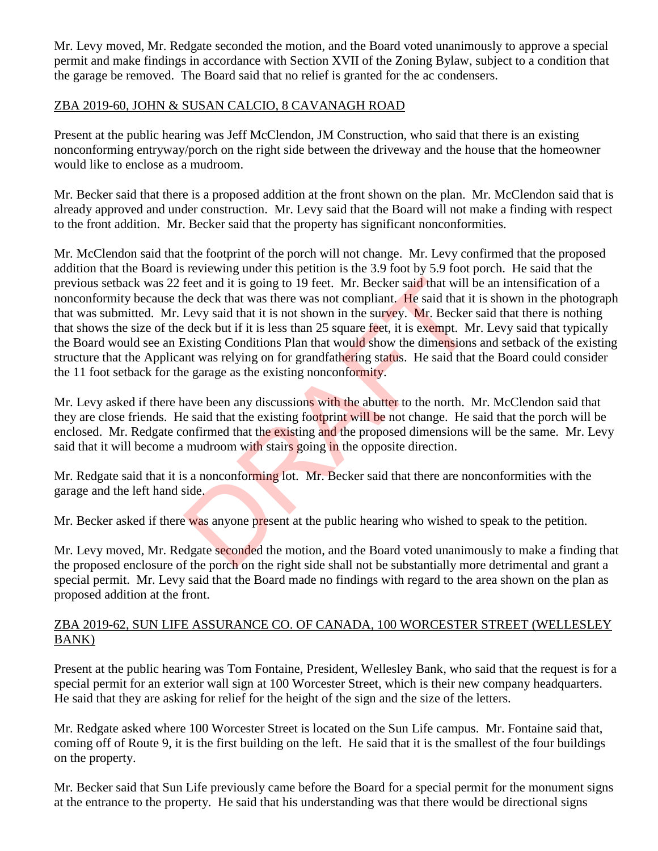Mr. Levy moved, Mr. Redgate seconded the motion, and the Board voted unanimously to approve a special permit and make findings in accordance with Section XVII of the Zoning Bylaw, subject to a condition that the garage be removed. The Board said that no relief is granted for the ac condensers.

### ZBA 2019-60, JOHN & SUSAN CALCIO, 8 CAVANAGH ROAD

Present at the public hearing was Jeff McClendon, JM Construction, who said that there is an existing nonconforming entryway/porch on the right side between the driveway and the house that the homeowner would like to enclose as a mudroom.

Mr. Becker said that there is a proposed addition at the front shown on the plan. Mr. McClendon said that is already approved and under construction. Mr. Levy said that the Board will not make a finding with respect to the front addition. Mr. Becker said that the property has significant nonconformities.

Mr. McClendon said that the footprint of the porch will not change. Mr. Levy confirmed that the proposed addition that the Board is reviewing under this petition is the 3.9 foot by 5.9 foot porch. He said that the previous setback was 22 feet and it is going to 19 feet. Mr. Becker said that will be an intensification of a nonconformity because the deck that was there was not compliant. He said that it is shown in the photograph that was submitted. Mr. Levy said that it is not shown in the survey. Mr. Becker said that there is nothing that shows the size of the deck but if it is less than 25 square feet, it is exempt. Mr. Levy said that typically the Board would see an Existing Conditions Plan that would show the dimensions and setback of the existing structure that the Applicant was relying on for grandfathering status. He said that the Board could consider the 11 foot setback for the garage as the existing nonconformity. feet and it is going to 19 feet. Mr. Becker said that will the deck that was there was not compliant. He said that it Levy said that it is not shown in the survey. Mr. Becker deck but if it is less than 25 square feet, it

Mr. Levy asked if there have been any discussions with the abutter to the north. Mr. McClendon said that they are close friends. He said that the existing footprint will be not change. He said that the porch will be enclosed. Mr. Redgate confirmed that the existing and the proposed dimensions will be the same. Mr. Levy said that it will become a mudroom with stairs going in the opposite direction.

Mr. Redgate said that it is a nonconforming lot. Mr. Becker said that there are nonconformities with the garage and the left hand side.

Mr. Becker asked if there was anyone present at the public hearing who wished to speak to the petition.

Mr. Levy moved, Mr. Redgate seconded the motion, and the Board voted unanimously to make a finding that the proposed enclosure of the porch on the right side shall not be substantially more detrimental and grant a special permit. Mr. Levy said that the Board made no findings with regard to the area shown on the plan as proposed addition at the front.

### ZBA 2019-62, SUN LIFE ASSURANCE CO. OF CANADA, 100 WORCESTER STREET (WELLESLEY BANK)

Present at the public hearing was Tom Fontaine, President, Wellesley Bank, who said that the request is for a special permit for an exterior wall sign at 100 Worcester Street, which is their new company headquarters. He said that they are asking for relief for the height of the sign and the size of the letters.

Mr. Redgate asked where 100 Worcester Street is located on the Sun Life campus. Mr. Fontaine said that, coming off of Route 9, it is the first building on the left. He said that it is the smallest of the four buildings on the property.

Mr. Becker said that Sun Life previously came before the Board for a special permit for the monument signs at the entrance to the property. He said that his understanding was that there would be directional signs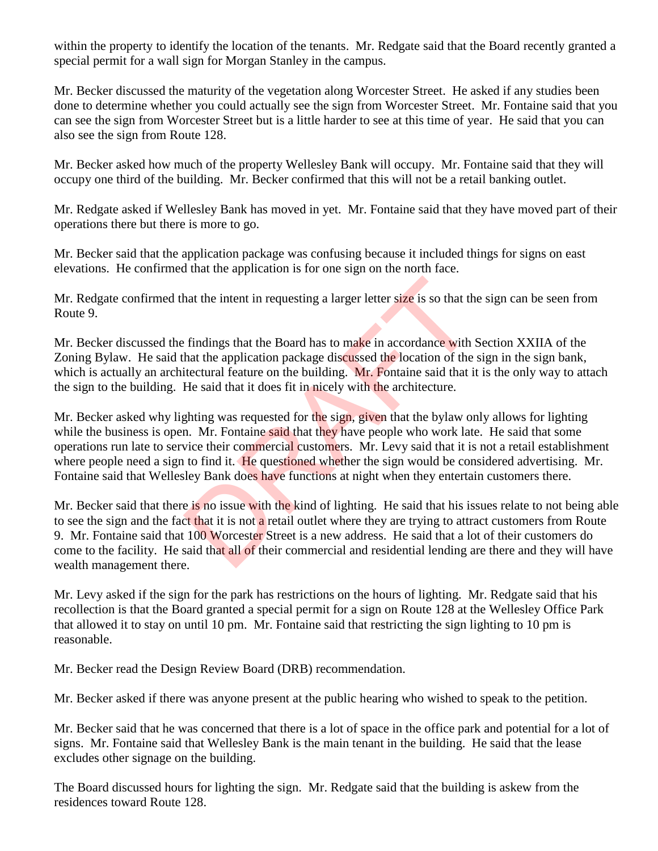within the property to identify the location of the tenants. Mr. Redgate said that the Board recently granted a special permit for a wall sign for Morgan Stanley in the campus.

Mr. Becker discussed the maturity of the vegetation along Worcester Street. He asked if any studies been done to determine whether you could actually see the sign from Worcester Street. Mr. Fontaine said that you can see the sign from Worcester Street but is a little harder to see at this time of year. He said that you can also see the sign from Route 128.

Mr. Becker asked how much of the property Wellesley Bank will occupy. Mr. Fontaine said that they will occupy one third of the building. Mr. Becker confirmed that this will not be a retail banking outlet.

Mr. Redgate asked if Wellesley Bank has moved in yet. Mr. Fontaine said that they have moved part of their operations there but there is more to go.

Mr. Becker said that the application package was confusing because it included things for signs on east elevations. He confirmed that the application is for one sign on the north face.

Mr. Redgate confirmed that the intent in requesting a larger letter size is so that the sign can be seen from Route 9.

Mr. Becker discussed the findings that the Board has to make in accordance with Section XXIIA of the Zoning Bylaw. He said that the application package discussed the location of the sign in the sign bank, which is actually an architectural feature on the building. Mr. Fontaine said that it is the only way to attach the sign to the building. He said that it does fit in nicely with the architecture.

Mr. Becker asked why lighting was requested for the sign, given that the bylaw only allows for lighting while the business is open. Mr. Fontaine said that they have people who work late. He said that some operations run late to service their commercial customers. Mr. Levy said that it is not a retail establishment where people need a sign to find it. He questioned whether the sign would be considered advertising. Mr. Fontaine said that Wellesley Bank does have functions at night when they entertain customers there. In the intent in requesting a larger letter size is so that the<br>findings that the Board has to make in accordance with l<br>hat the application package discussed the location of the<br>itectural feature on the building. Mr. Font

Mr. Becker said that there is no issue with the kind of lighting. He said that his issues relate to not being able to see the sign and the fact that it is not a retail outlet where they are trying to attract customers from Route 9. Mr. Fontaine said that 100 Worcester Street is a new address. He said that a lot of their customers do come to the facility. He said that all of their commercial and residential lending are there and they will have wealth management there.

Mr. Levy asked if the sign for the park has restrictions on the hours of lighting. Mr. Redgate said that his recollection is that the Board granted a special permit for a sign on Route 128 at the Wellesley Office Park that allowed it to stay on until 10 pm. Mr. Fontaine said that restricting the sign lighting to 10 pm is reasonable.

Mr. Becker read the Design Review Board (DRB) recommendation.

Mr. Becker asked if there was anyone present at the public hearing who wished to speak to the petition.

Mr. Becker said that he was concerned that there is a lot of space in the office park and potential for a lot of signs. Mr. Fontaine said that Wellesley Bank is the main tenant in the building. He said that the lease excludes other signage on the building.

The Board discussed hours for lighting the sign. Mr. Redgate said that the building is askew from the residences toward Route 128.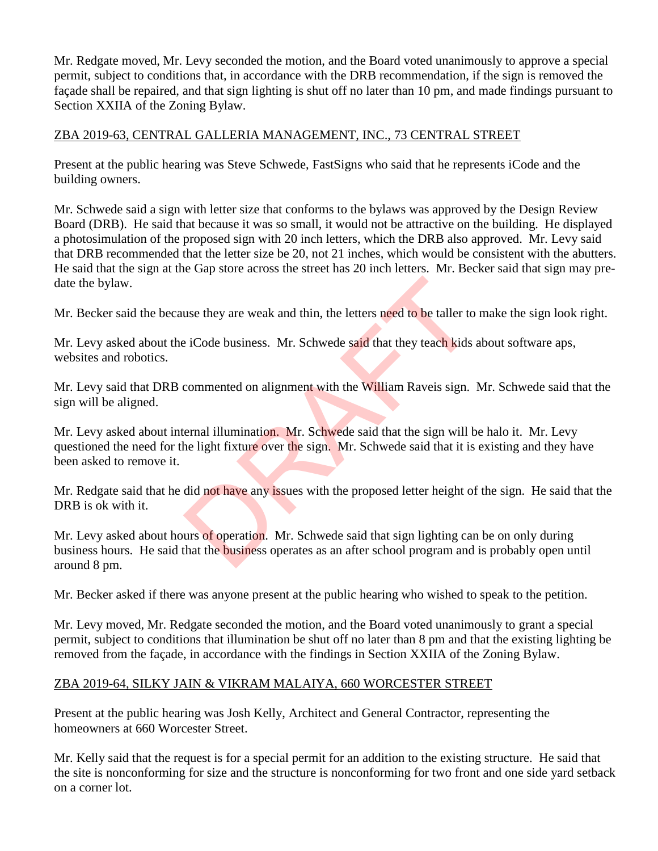Mr. Redgate moved, Mr. Levy seconded the motion, and the Board voted unanimously to approve a special permit, subject to conditions that, in accordance with the DRB recommendation, if the sign is removed the façade shall be repaired, and that sign lighting is shut off no later than 10 pm, and made findings pursuant to Section XXIIA of the Zoning Bylaw.

### ZBA 2019-63, CENTRAL GALLERIA MANAGEMENT, INC., 73 CENTRAL STREET

Present at the public hearing was Steve Schwede, FastSigns who said that he represents iCode and the building owners.

Mr. Schwede said a sign with letter size that conforms to the bylaws was approved by the Design Review Board (DRB). He said that because it was so small, it would not be attractive on the building. He displayed a photosimulation of the proposed sign with 20 inch letters, which the DRB also approved. Mr. Levy said that DRB recommended that the letter size be 20, not 21 inches, which would be consistent with the abutters. He said that the sign at the Gap store across the street has 20 inch letters. Mr. Becker said that sign may predate the bylaw.

Mr. Becker said the because they are weak and thin, the letters need to be taller to make the sign look right.

Mr. Levy asked about the iCode business. Mr. Schwede said that they teach kids about software aps, websites and robotics.

Mr. Levy said that DRB commented on alignment with the William Raveis sign. Mr. Schwede said that the sign will be aligned.

Mr. Levy asked about internal illumination. Mr. Schwede said that the sign will be halo it. Mr. Levy questioned the need for the light fixture over the sign. Mr. Schwede said that it is existing and they have been asked to remove it. use they are weak and thin, the letters need to be taller to<br>
i Code business. Mr. Schwede said that they teach kids<br>
commented on alignment with the William Raveis sign.<br>
ernal illumination. Mr. Schwede said that the sign

Mr. Redgate said that he did not have any issues with the proposed letter height of the sign. He said that the DRB is ok with it.

Mr. Levy asked about hours of operation. Mr. Schwede said that sign lighting can be on only during business hours. He said that the business operates as an after school program and is probably open until around 8 pm.

Mr. Becker asked if there was anyone present at the public hearing who wished to speak to the petition.

Mr. Levy moved, Mr. Redgate seconded the motion, and the Board voted unanimously to grant a special permit, subject to conditions that illumination be shut off no later than 8 pm and that the existing lighting be removed from the façade, in accordance with the findings in Section XXIIA of the Zoning Bylaw.

#### ZBA 2019-64, SILKY JAIN & VIKRAM MALAIYA, 660 WORCESTER STREET

Present at the public hearing was Josh Kelly, Architect and General Contractor, representing the homeowners at 660 Worcester Street.

Mr. Kelly said that the request is for a special permit for an addition to the existing structure. He said that the site is nonconforming for size and the structure is nonconforming for two front and one side yard setback on a corner lot.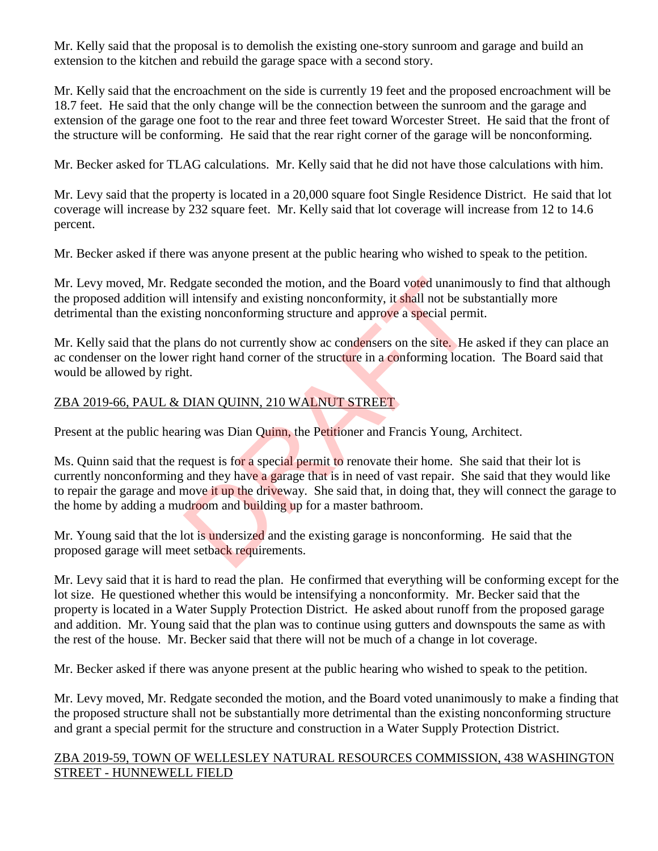Mr. Kelly said that the proposal is to demolish the existing one-story sunroom and garage and build an extension to the kitchen and rebuild the garage space with a second story.

Mr. Kelly said that the encroachment on the side is currently 19 feet and the proposed encroachment will be 18.7 feet. He said that the only change will be the connection between the sunroom and the garage and extension of the garage one foot to the rear and three feet toward Worcester Street. He said that the front of the structure will be conforming. He said that the rear right corner of the garage will be nonconforming.

Mr. Becker asked for TLAG calculations. Mr. Kelly said that he did not have those calculations with him.

Mr. Levy said that the property is located in a 20,000 square foot Single Residence District. He said that lot coverage will increase by 232 square feet. Mr. Kelly said that lot coverage will increase from 12 to 14.6 percent.

Mr. Becker asked if there was anyone present at the public hearing who wished to speak to the petition.

Mr. Levy moved, Mr. Redgate seconded the motion, and the Board voted unanimously to find that although the proposed addition will intensify and existing nonconformity, it shall not be substantially more detrimental than the existing nonconforming structure and approve a special permit.

Mr. Kelly said that the plans do not currently show ac condensers on the site. He asked if they can place an ac condenser on the lower right hand corner of the structure in a conforming location. The Board said that would be allowed by right.

# ZBA 2019-66, PAUL & DIAN QUINN, 210 WALNUT STREET

Present at the public hearing was Dian Quinn, the Petitioner and Francis Young, Architect.

Ms. Quinn said that the request is for a special permit to renovate their home. She said that their lot is currently nonconforming and they have a garage that is in need of vast repair. She said that they would like to repair the garage and move it up the driveway. She said that, in doing that, they will connect the garage to the home by adding a mudroom and building up for a master bathroom. diate seconded the motion, and the Board voted unanimeall<br>intensify and existing nonconformity, it shall not be sulting nonconforming structure and approve a special perm<br>ans do not currently show ac condensers on the site

Mr. Young said that the lot is undersized and the existing garage is nonconforming. He said that the proposed garage will meet setback requirements.

Mr. Levy said that it is hard to read the plan. He confirmed that everything will be conforming except for the lot size. He questioned whether this would be intensifying a nonconformity. Mr. Becker said that the property is located in a Water Supply Protection District. He asked about runoff from the proposed garage and addition. Mr. Young said that the plan was to continue using gutters and downspouts the same as with the rest of the house. Mr. Becker said that there will not be much of a change in lot coverage.

Mr. Becker asked if there was anyone present at the public hearing who wished to speak to the petition.

Mr. Levy moved, Mr. Redgate seconded the motion, and the Board voted unanimously to make a finding that the proposed structure shall not be substantially more detrimental than the existing nonconforming structure and grant a special permit for the structure and construction in a Water Supply Protection District.

#### ZBA 2019-59, TOWN OF WELLESLEY NATURAL RESOURCES COMMISSION, 438 WASHINGTON STREET - HUNNEWELL FIELD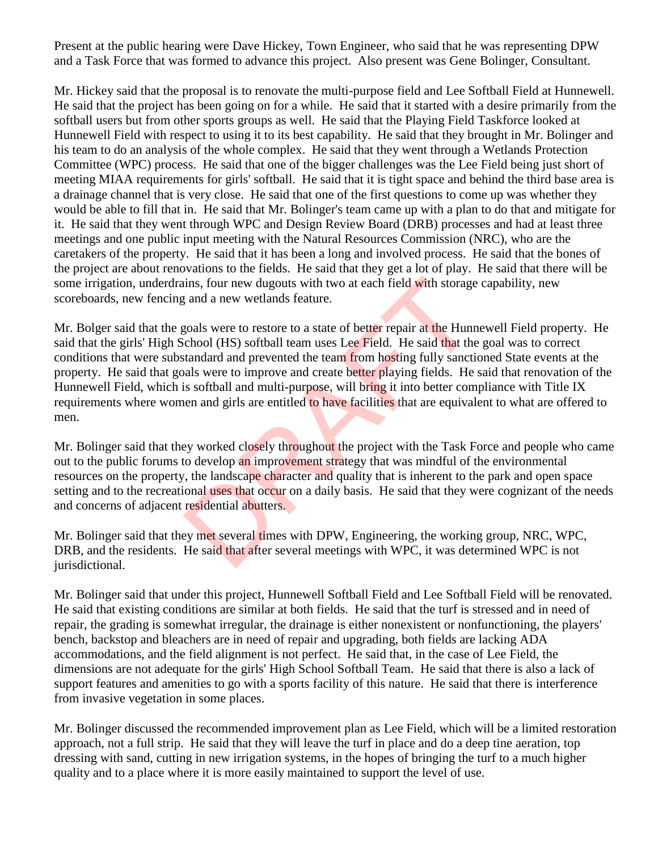Present at the public hearing were Dave Hickey, Town Engineer, who said that he was representing DPW and a Task Force that was formed to advance this project. Also present was Gene Bolinger, Consultant.

Mr. Hickey said that the proposal is to renovate the multi-purpose field and Lee Softball Field at Hunnewell. He said that the project has been going on for a while. He said that it started with a desire primarily from the softball users but from other sports groups as well. He said that the Playing Field Taskforce looked at Hunnewell Field with respect to using it to its best capability. He said that they brought in Mr. Bolinger and his team to do an analysis of the whole complex. He said that they went through a Wetlands Protection Committee (WPC) process. He said that one of the bigger challenges was the Lee Field being just short of meeting MIAA requirements for girls' softball. He said that it is tight space and behind the third base area is a drainage channel that is very close. He said that one of the first questions to come up was whether they would be able to fill that in. He said that Mr. Bolinger's team came up with a plan to do that and mitigate for it. He said that they went through WPC and Design Review Board (DRB) processes and had at least three meetings and one public input meeting with the Natural Resources Commission (NRC), who are the caretakers of the property. He said that it has been a long and involved process. He said that the bones of the project are about renovations to the fields. He said that they get a lot of play. He said that there will be some irrigation, underdrains, four new dugouts with two at each field with storage capability, new scoreboards, new fencing and a new wetlands feature.

Mr. Bolger said that the goals were to restore to a state of better repair at the Hunnewell Field property. He said that the girls' High School (HS) softball team uses Lee Field. He said that the goal was to correct conditions that were substandard and prevented the team from hosting fully sanctioned State events at the property. He said that goals were to improve and create better playing fields. He said that renovation of the Hunnewell Field, which is softball and multi-purpose, will bring it into better compliance with Title IX requirements where women and girls are entitled to have facilities that are equivalent to what are offered to men. ins, four new dugouts with two at each field with storage<br>g and a new wetlands feature.<br>goals were to restore to a state of better repair at the Huni<br>chool (HS) softball team uses Lee Field. He said that the<br>tandard and pr

Mr. Bolinger said that they worked closely throughout the project with the Task Force and people who came out to the public forums to develop an improvement strategy that was mindful of the environmental resources on the property, the landscape character and quality that is inherent to the park and open space setting and to the recreational uses that occur on a daily basis. He said that they were cognizant of the needs and concerns of adjacent residential abutters.

Mr. Bolinger said that they met several times with DPW, Engineering, the working group, NRC, WPC, DRB, and the residents. He said that after several meetings with WPC, it was determined WPC is not jurisdictional.

Mr. Bolinger said that under this project, Hunnewell Softball Field and Lee Softball Field will be renovated. He said that existing conditions are similar at both fields. He said that the turf is stressed and in need of repair, the grading is somewhat irregular, the drainage is either nonexistent or nonfunctioning, the players' bench, backstop and bleachers are in need of repair and upgrading, both fields are lacking ADA accommodations, and the field alignment is not perfect. He said that, in the case of Lee Field, the dimensions are not adequate for the girls' High School Softball Team. He said that there is also a lack of support features and amenities to go with a sports facility of this nature. He said that there is interference from invasive vegetation in some places.

Mr. Bolinger discussed the recommended improvement plan as Lee Field, which will be a limited restoration approach, not a full strip. He said that they will leave the turf in place and do a deep tine aeration, top dressing with sand, cutting in new irrigation systems, in the hopes of bringing the turf to a much higher quality and to a place where it is more easily maintained to support the level of use.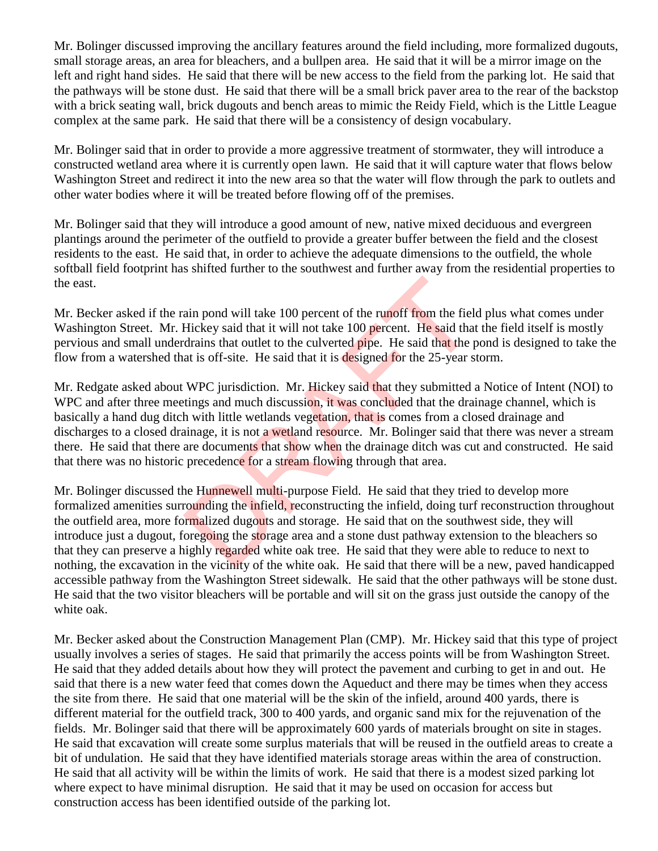Mr. Bolinger discussed improving the ancillary features around the field including, more formalized dugouts, small storage areas, an area for bleachers, and a bullpen area. He said that it will be a mirror image on the left and right hand sides. He said that there will be new access to the field from the parking lot. He said that the pathways will be stone dust. He said that there will be a small brick paver area to the rear of the backstop with a brick seating wall, brick dugouts and bench areas to mimic the Reidy Field, which is the Little League complex at the same park. He said that there will be a consistency of design vocabulary.

Mr. Bolinger said that in order to provide a more aggressive treatment of stormwater, they will introduce a constructed wetland area where it is currently open lawn. He said that it will capture water that flows below Washington Street and redirect it into the new area so that the water will flow through the park to outlets and other water bodies where it will be treated before flowing off of the premises.

Mr. Bolinger said that they will introduce a good amount of new, native mixed deciduous and evergreen plantings around the perimeter of the outfield to provide a greater buffer between the field and the closest residents to the east. He said that, in order to achieve the adequate dimensions to the outfield, the whole softball field footprint has shifted further to the southwest and further away from the residential properties to the east.

Mr. Becker asked if the rain pond will take 100 percent of the runoff from the field plus what comes under Washington Street. Mr. Hickey said that it will not take 100 percent. He said that the field itself is mostly pervious and small underdrains that outlet to the culverted pipe. He said that the pond is designed to take the flow from a watershed that is off-site. He said that it is designed for the 25-year storm.

Mr. Redgate asked about WPC jurisdiction. Mr. Hickey said that they submitted a Notice of Intent (NOI) to WPC and after three meetings and much discussion, it was concluded that the drainage channel, which is basically a hand dug ditch with little wetlands vegetation, that is comes from a closed drainage and discharges to a closed drainage, it is not a wetland resource. Mr. Bolinger said that there was never a stream there. He said that there are documents that show when the drainage ditch was cut and constructed. He said that there was no historic precedence for a stream flowing through that area. ain pond will take 100 percent of the runoff from the fiel<br>Hickey said that it will not take 100 percent. He said that<br>drains that outlet to the culverted pipe. He said that the p<br>at is off-site. He said that it is designe

Mr. Bolinger discussed the Hunnewell multi-purpose Field. He said that they tried to develop more formalized amenities surrounding the infield, reconstructing the infield, doing turf reconstruction throughout the outfield area, more formalized dugouts and storage. He said that on the southwest side, they will introduce just a dugout, foregoing the storage area and a stone dust pathway extension to the bleachers so that they can preserve a highly regarded white oak tree. He said that they were able to reduce to next to nothing, the excavation in the vicinity of the white oak. He said that there will be a new, paved handicapped accessible pathway from the Washington Street sidewalk. He said that the other pathways will be stone dust. He said that the two visitor bleachers will be portable and will sit on the grass just outside the canopy of the white oak.

Mr. Becker asked about the Construction Management Plan (CMP). Mr. Hickey said that this type of project usually involves a series of stages. He said that primarily the access points will be from Washington Street. He said that they added details about how they will protect the pavement and curbing to get in and out. He said that there is a new water feed that comes down the Aqueduct and there may be times when they access the site from there. He said that one material will be the skin of the infield, around 400 yards, there is different material for the outfield track, 300 to 400 yards, and organic sand mix for the rejuvenation of the fields. Mr. Bolinger said that there will be approximately 600 yards of materials brought on site in stages. He said that excavation will create some surplus materials that will be reused in the outfield areas to create a bit of undulation. He said that they have identified materials storage areas within the area of construction. He said that all activity will be within the limits of work. He said that there is a modest sized parking lot where expect to have minimal disruption. He said that it may be used on occasion for access but construction access has been identified outside of the parking lot.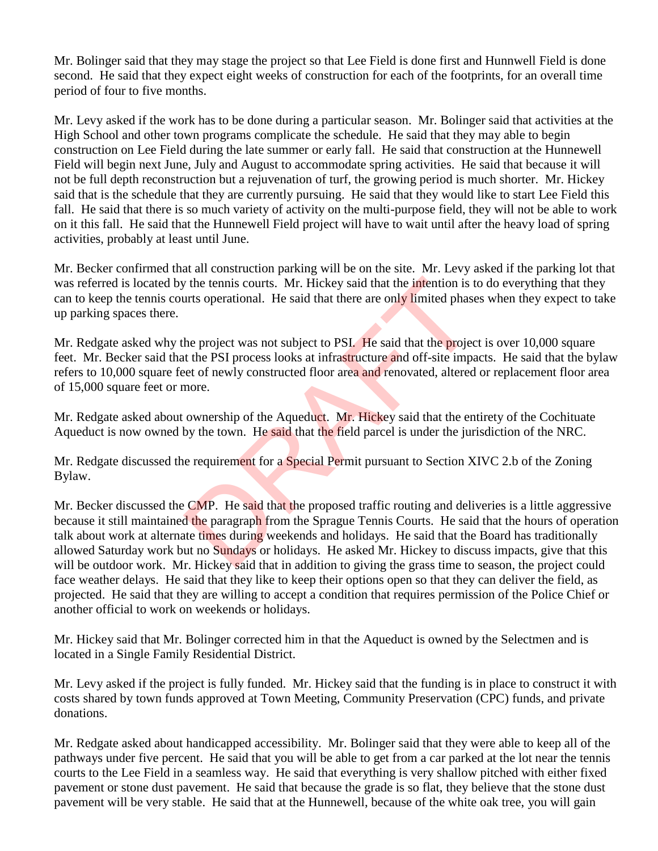Mr. Bolinger said that they may stage the project so that Lee Field is done first and Hunnwell Field is done second. He said that they expect eight weeks of construction for each of the footprints, for an overall time period of four to five months.

Mr. Levy asked if the work has to be done during a particular season. Mr. Bolinger said that activities at the High School and other town programs complicate the schedule. He said that they may able to begin construction on Lee Field during the late summer or early fall. He said that construction at the Hunnewell Field will begin next June, July and August to accommodate spring activities. He said that because it will not be full depth reconstruction but a rejuvenation of turf, the growing period is much shorter. Mr. Hickey said that is the schedule that they are currently pursuing. He said that they would like to start Lee Field this fall. He said that there is so much variety of activity on the multi-purpose field, they will not be able to work on it this fall. He said that the Hunnewell Field project will have to wait until after the heavy load of spring activities, probably at least until June.

Mr. Becker confirmed that all construction parking will be on the site. Mr. Levy asked if the parking lot that was referred is located by the tennis courts. Mr. Hickey said that the intention is to do everything that they can to keep the tennis courts operational. He said that there are only limited phases when they expect to take up parking spaces there.

Mr. Redgate asked why the project was not subject to PSI. He said that the project is over 10,000 square feet. Mr. Becker said that the PSI process looks at infrastructure and off-site impacts. He said that the bylaw refers to 10,000 square feet of newly constructed floor area and renovated, altered or replacement floor area of 15,000 square feet or more.

Mr. Redgate asked about ownership of the Aqueduct. Mr. Hickey said that the entirety of the Cochituate Aqueduct is now owned by the town. He said that the field parcel is under the jurisdiction of the NRC.

Mr. Redgate discussed the requirement for a Special Permit pursuant to Section XIVC 2.b of the Zoning Bylaw.

Mr. Becker discussed the CMP. He said that the proposed traffic routing and deliveries is a little aggressive because it still maintained the paragraph from the Sprague Tennis Courts. He said that the hours of operation talk about work at alternate times during weekends and holidays. He said that the Board has traditionally allowed Saturday work but no Sundays or holidays. He asked Mr. Hickey to discuss impacts, give that this will be outdoor work. Mr. Hickey said that in addition to giving the grass time to season, the project could face weather delays. He said that they like to keep their options open so that they can deliver the field, as projected. He said that they are willing to accept a condition that requires permission of the Police Chief or another official to work on weekends or holidays. or the tennis courts. Mr. Hickey said that the intention is turts operational. He said that there are only limited phase<br>turts operational. He said that there are only limited phase<br>to the PSI process looks at infrastructu

Mr. Hickey said that Mr. Bolinger corrected him in that the Aqueduct is owned by the Selectmen and is located in a Single Family Residential District.

Mr. Levy asked if the project is fully funded. Mr. Hickey said that the funding is in place to construct it with costs shared by town funds approved at Town Meeting, Community Preservation (CPC) funds, and private donations.

Mr. Redgate asked about handicapped accessibility. Mr. Bolinger said that they were able to keep all of the pathways under five percent. He said that you will be able to get from a car parked at the lot near the tennis courts to the Lee Field in a seamless way. He said that everything is very shallow pitched with either fixed pavement or stone dust pavement. He said that because the grade is so flat, they believe that the stone dust pavement will be very stable. He said that at the Hunnewell, because of the white oak tree, you will gain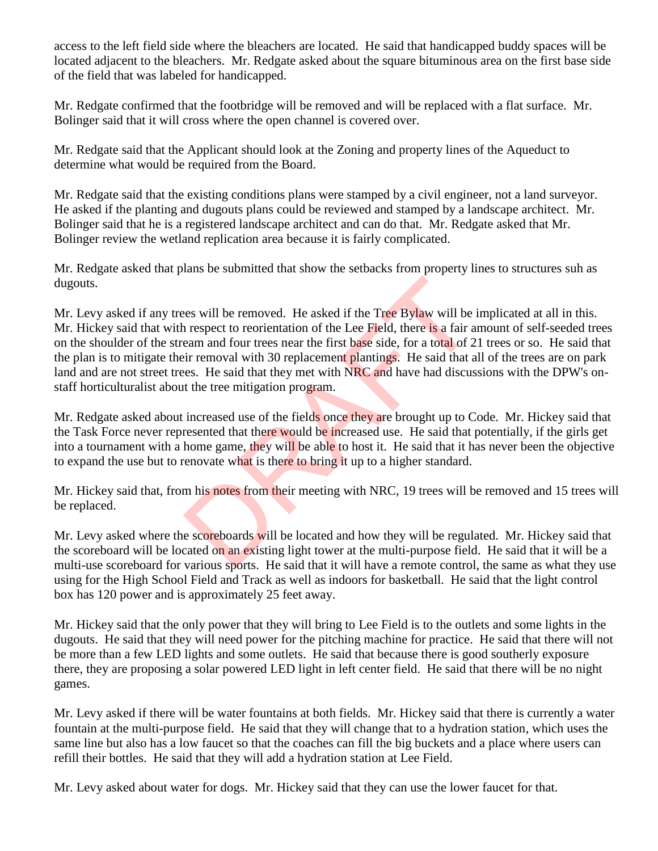access to the left field side where the bleachers are located. He said that handicapped buddy spaces will be located adjacent to the bleachers. Mr. Redgate asked about the square bituminous area on the first base side of the field that was labeled for handicapped.

Mr. Redgate confirmed that the footbridge will be removed and will be replaced with a flat surface. Mr. Bolinger said that it will cross where the open channel is covered over.

Mr. Redgate said that the Applicant should look at the Zoning and property lines of the Aqueduct to determine what would be required from the Board.

Mr. Redgate said that the existing conditions plans were stamped by a civil engineer, not a land surveyor. He asked if the planting and dugouts plans could be reviewed and stamped by a landscape architect. Mr. Bolinger said that he is a registered landscape architect and can do that. Mr. Redgate asked that Mr. Bolinger review the wetland replication area because it is fairly complicated.

Mr. Redgate asked that plans be submitted that show the setbacks from property lines to structures suh as dugouts.

Mr. Levy asked if any trees will be removed. He asked if the Tree Bylaw will be implicated at all in this. Mr. Hickey said that with respect to reorientation of the Lee Field, there is a fair amount of self-seeded trees on the shoulder of the stream and four trees near the first base side, for a total of 21 trees or so. He said that the plan is to mitigate their removal with 30 replacement plantings. He said that all of the trees are on park land and are not street trees. He said that they met with NRC and have had discussions with the DPW's onstaff horticulturalist about the tree mitigation program. the asked if the Tree Bylaw will be<br>
a respect to reorientation of the Lee Field, there is a fair a<br>
earm and four trees near the first base side, for a total of 2<br>
ir removal with 30 replacement plantings. He said that a<br>

Mr. Redgate asked about increased use of the fields once they are brought up to Code. Mr. Hickey said that the Task Force never represented that there would be increased use. He said that potentially, if the girls get into a tournament with a home game, they will be able to host it. He said that it has never been the objective to expand the use but to renovate what is there to bring it up to a higher standard.

Mr. Hickey said that, from his notes from their meeting with NRC, 19 trees will be removed and 15 trees will be replaced.

Mr. Levy asked where the scoreboards will be located and how they will be regulated. Mr. Hickey said that the scoreboard will be located on an existing light tower at the multi-purpose field. He said that it will be a multi-use scoreboard for various sports. He said that it will have a remote control, the same as what they use using for the High School Field and Track as well as indoors for basketball. He said that the light control box has 120 power and is approximately 25 feet away.

Mr. Hickey said that the only power that they will bring to Lee Field is to the outlets and some lights in the dugouts. He said that they will need power for the pitching machine for practice. He said that there will not be more than a few LED lights and some outlets. He said that because there is good southerly exposure there, they are proposing a solar powered LED light in left center field. He said that there will be no night games.

Mr. Levy asked if there will be water fountains at both fields. Mr. Hickey said that there is currently a water fountain at the multi-purpose field. He said that they will change that to a hydration station, which uses the same line but also has a low faucet so that the coaches can fill the big buckets and a place where users can refill their bottles. He said that they will add a hydration station at Lee Field.

Mr. Levy asked about water for dogs. Mr. Hickey said that they can use the lower faucet for that.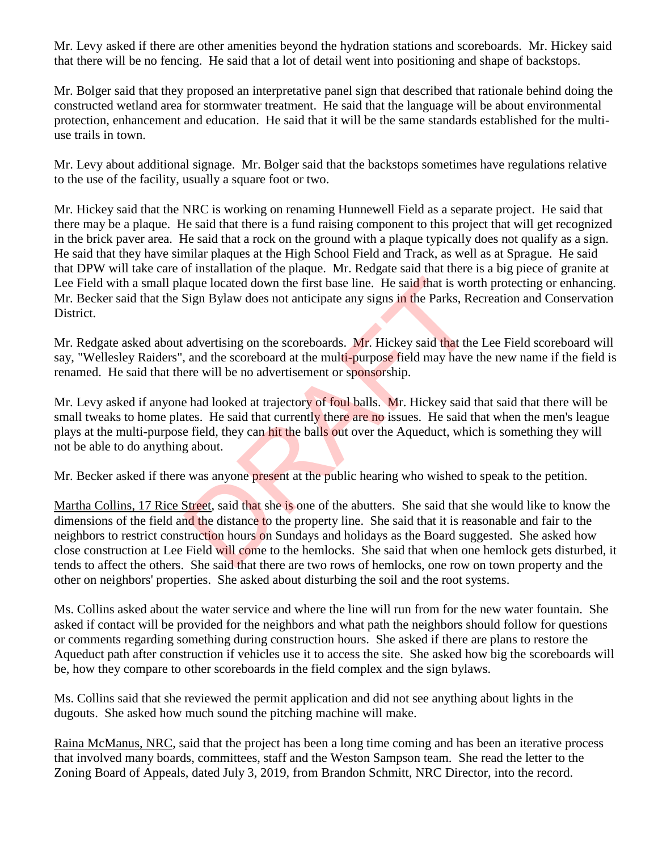Mr. Levy asked if there are other amenities beyond the hydration stations and scoreboards. Mr. Hickey said that there will be no fencing. He said that a lot of detail went into positioning and shape of backstops.

Mr. Bolger said that they proposed an interpretative panel sign that described that rationale behind doing the constructed wetland area for stormwater treatment. He said that the language will be about environmental protection, enhancement and education. He said that it will be the same standards established for the multiuse trails in town.

Mr. Levy about additional signage. Mr. Bolger said that the backstops sometimes have regulations relative to the use of the facility, usually a square foot or two.

Mr. Hickey said that the NRC is working on renaming Hunnewell Field as a separate project. He said that there may be a plaque. He said that there is a fund raising component to this project that will get recognized in the brick paver area. He said that a rock on the ground with a plaque typically does not qualify as a sign. He said that they have similar plaques at the High School Field and Track, as well as at Sprague. He said that DPW will take care of installation of the plaque. Mr. Redgate said that there is a big piece of granite at Lee Field with a small plaque located down the first base line. He said that is worth protecting or enhancing. Mr. Becker said that the Sign Bylaw does not anticipate any signs in the Parks, Recreation and Conservation District.

Mr. Redgate asked about advertising on the scoreboards. Mr. Hickey said that the Lee Field scoreboard will say, "Wellesley Raiders", and the scoreboard at the multi-purpose field may have the new name if the field is renamed. He said that there will be no advertisement or sponsorship.

Mr. Levy asked if anyone had looked at trajectory of foul balls. Mr. Hickey said that said that there will be small tweaks to home plates. He said that currently there are no issues. He said that when the men's league plays at the multi-purpose field, they can hit the balls out over the Aqueduct, which is something they will not be able to do anything about.

Mr. Becker asked if there was anyone present at the public hearing who wished to speak to the petition.

Martha Collins, 17 Rice Street, said that she is one of the abutters. She said that she would like to know the dimensions of the field and the distance to the property line. She said that it is reasonable and fair to the neighbors to restrict construction hours on Sundays and holidays as the Board suggested. She asked how close construction at Lee Field will come to the hemlocks. She said that when one hemlock gets disturbed, it tends to affect the others. She said that there are two rows of hemlocks, one row on town property and the other on neighbors' properties. She asked about disturbing the soil and the root systems. aque located down the first base line. He said that is wordthout<br>Sign Bylaw does not anticipate any signs in the Parks, Re<br>advertising on the scoreboards. Mr. Hickey said that the<br>, and the scoreboard at the multi-purpose

Ms. Collins asked about the water service and where the line will run from for the new water fountain. She asked if contact will be provided for the neighbors and what path the neighbors should follow for questions or comments regarding something during construction hours. She asked if there are plans to restore the Aqueduct path after construction if vehicles use it to access the site. She asked how big the scoreboards will be, how they compare to other scoreboards in the field complex and the sign bylaws.

Ms. Collins said that she reviewed the permit application and did not see anything about lights in the dugouts. She asked how much sound the pitching machine will make.

Raina McManus, NRC, said that the project has been a long time coming and has been an iterative process that involved many boards, committees, staff and the Weston Sampson team. She read the letter to the Zoning Board of Appeals, dated July 3, 2019, from Brandon Schmitt, NRC Director, into the record.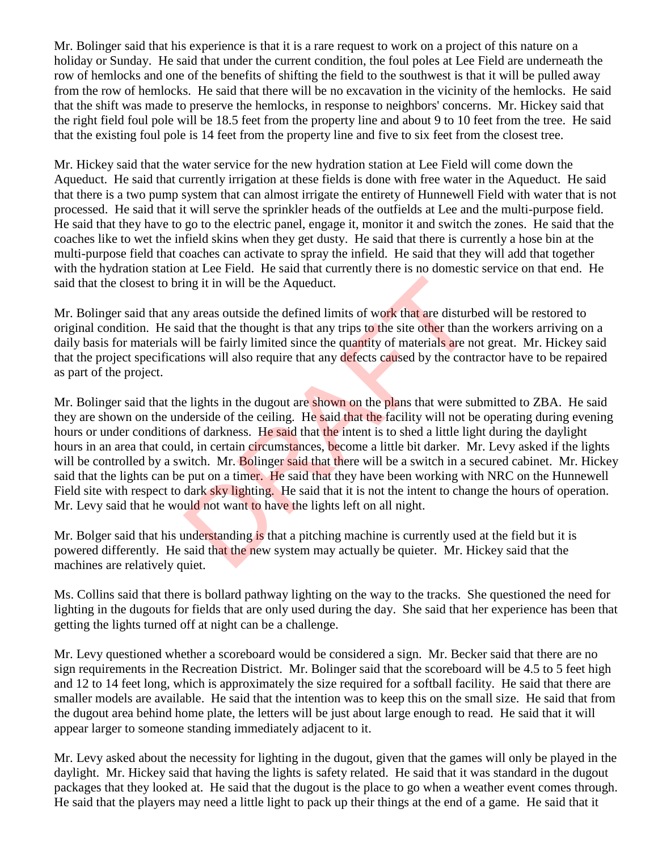Mr. Bolinger said that his experience is that it is a rare request to work on a project of this nature on a holiday or Sunday. He said that under the current condition, the foul poles at Lee Field are underneath the row of hemlocks and one of the benefits of shifting the field to the southwest is that it will be pulled away from the row of hemlocks. He said that there will be no excavation in the vicinity of the hemlocks. He said that the shift was made to preserve the hemlocks, in response to neighbors' concerns. Mr. Hickey said that the right field foul pole will be 18.5 feet from the property line and about 9 to 10 feet from the tree. He said that the existing foul pole is 14 feet from the property line and five to six feet from the closest tree.

Mr. Hickey said that the water service for the new hydration station at Lee Field will come down the Aqueduct. He said that currently irrigation at these fields is done with free water in the Aqueduct. He said that there is a two pump system that can almost irrigate the entirety of Hunnewell Field with water that is not processed. He said that it will serve the sprinkler heads of the outfields at Lee and the multi-purpose field. He said that they have to go to the electric panel, engage it, monitor it and switch the zones. He said that the coaches like to wet the infield skins when they get dusty. He said that there is currently a hose bin at the multi-purpose field that coaches can activate to spray the infield. He said that they will add that together with the hydration station at Lee Field. He said that currently there is no domestic service on that end. He said that the closest to bring it in will be the Aqueduct.

Mr. Bolinger said that any areas outside the defined limits of work that are disturbed will be restored to original condition. He said that the thought is that any trips to the site other than the workers arriving on a daily basis for materials will be fairly limited since the quantity of materials are not great. Mr. Hickey said that the project specifications will also require that any defects caused by the contractor have to be repaired as part of the project.

Mr. Bolinger said that the lights in the dugout are shown on the plans that were submitted to ZBA. He said they are shown on the underside of the ceiling. He said that the facility will not be operating during evening hours or under conditions of darkness. He said that the intent is to shed a little light during the daylight hours in an area that could, in certain circumstances, become a little bit darker. Mr. Levy asked if the lights will be controlled by a switch. Mr. Bolinger said that there will be a switch in a secured cabinet. Mr. Hickey said that the lights can be put on a timer. He said that they have been working with NRC on the Hunnewell Field site with respect to dark sky lighting. He said that it is not the intent to change the hours of operation. Mr. Levy said that he would not want to have the lights left on all night. ing it in will be the Aqueduct.<br>
y areas outside the defined limits of work that are disturbuid that the thought is that any trips to the site other than t<br>
will be fairly limited since the quantity of materials are ne<br>
io

Mr. Bolger said that his understanding is that a pitching machine is currently used at the field but it is powered differently. He said that the new system may actually be quieter. Mr. Hickey said that the machines are relatively quiet.

Ms. Collins said that there is bollard pathway lighting on the way to the tracks. She questioned the need for lighting in the dugouts for fields that are only used during the day. She said that her experience has been that getting the lights turned off at night can be a challenge.

Mr. Levy questioned whether a scoreboard would be considered a sign. Mr. Becker said that there are no sign requirements in the Recreation District. Mr. Bolinger said that the scoreboard will be 4.5 to 5 feet high and 12 to 14 feet long, which is approximately the size required for a softball facility. He said that there are smaller models are available. He said that the intention was to keep this on the small size. He said that from the dugout area behind home plate, the letters will be just about large enough to read. He said that it will appear larger to someone standing immediately adjacent to it.

Mr. Levy asked about the necessity for lighting in the dugout, given that the games will only be played in the daylight. Mr. Hickey said that having the lights is safety related. He said that it was standard in the dugout packages that they looked at. He said that the dugout is the place to go when a weather event comes through. He said that the players may need a little light to pack up their things at the end of a game. He said that it